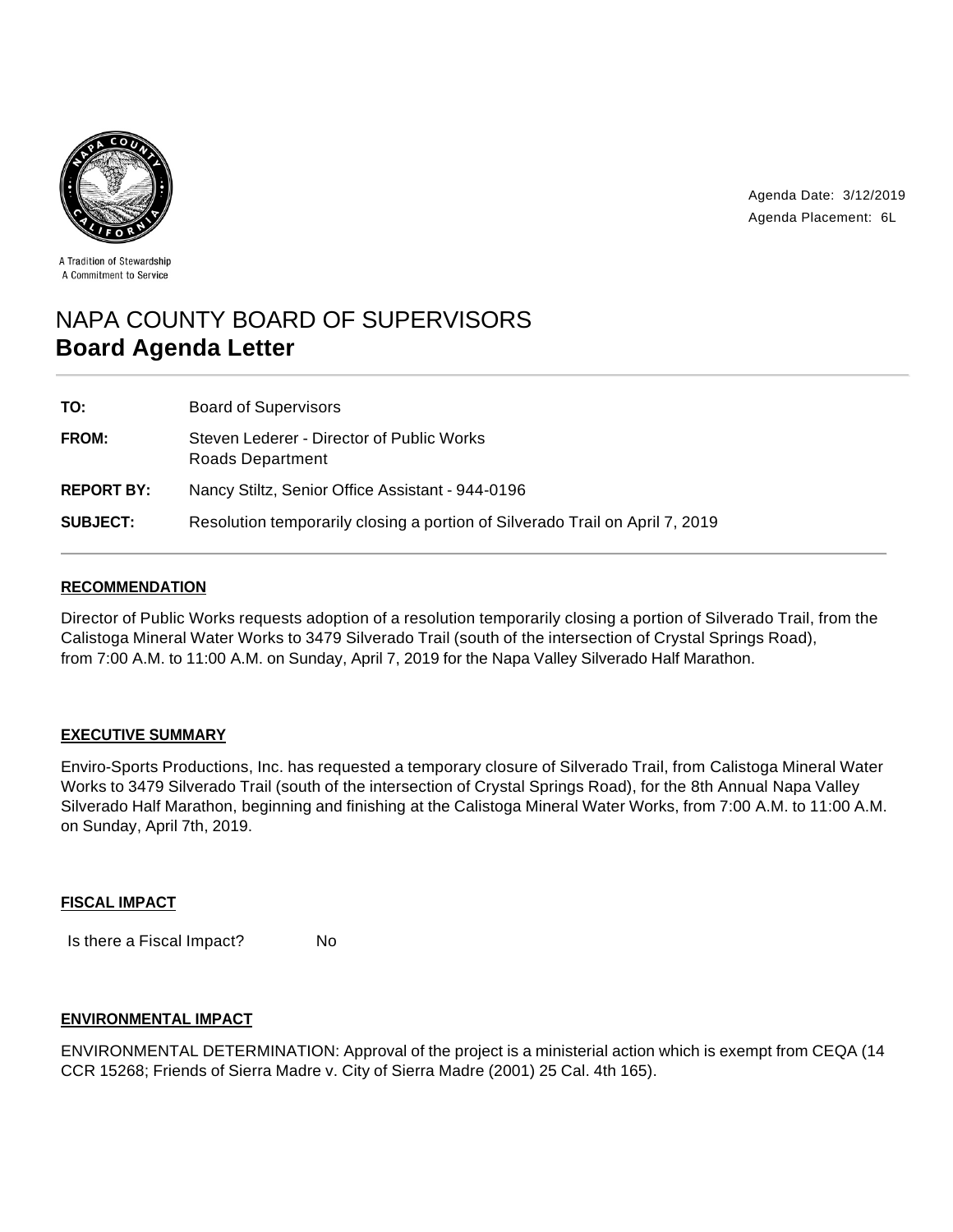

Agenda Date: 3/12/2019 Agenda Placement: 6L

A Tradition of Stewardship A Commitment to Service

# NAPA COUNTY BOARD OF SUPERVISORS **Board Agenda Letter**

| TO:               | <b>Board of Supervisors</b>                                                  |
|-------------------|------------------------------------------------------------------------------|
| <b>FROM:</b>      | Steven Lederer - Director of Public Works<br>Roads Department                |
| <b>REPORT BY:</b> | Nancy Stiltz, Senior Office Assistant - 944-0196                             |
| <b>SUBJECT:</b>   | Resolution temporarily closing a portion of Silverado Trail on April 7, 2019 |

### **RECOMMENDATION**

Director of Public Works requests adoption of a resolution temporarily closing a portion of Silverado Trail, from the Calistoga Mineral Water Works to 3479 Silverado Trail (south of the intersection of Crystal Springs Road), from 7:00 A.M. to 11:00 A.M. on Sunday, April 7, 2019 for the Napa Valley Silverado Half Marathon.

### **EXECUTIVE SUMMARY**

Enviro-Sports Productions, Inc. has requested a temporary closure of Silverado Trail, from Calistoga Mineral Water Works to 3479 Silverado Trail (south of the intersection of Crystal Springs Road), for the 8th Annual Napa Valley Silverado Half Marathon, beginning and finishing at the Calistoga Mineral Water Works, from 7:00 A.M. to 11:00 A.M. on Sunday, April 7th, 2019.

### **FISCAL IMPACT**

Is there a Fiscal Impact? No

### **ENVIRONMENTAL IMPACT**

ENVIRONMENTAL DETERMINATION: Approval of the project is a ministerial action which is exempt from CEQA (14 CCR 15268; Friends of Sierra Madre v. City of Sierra Madre (2001) 25 Cal. 4th 165).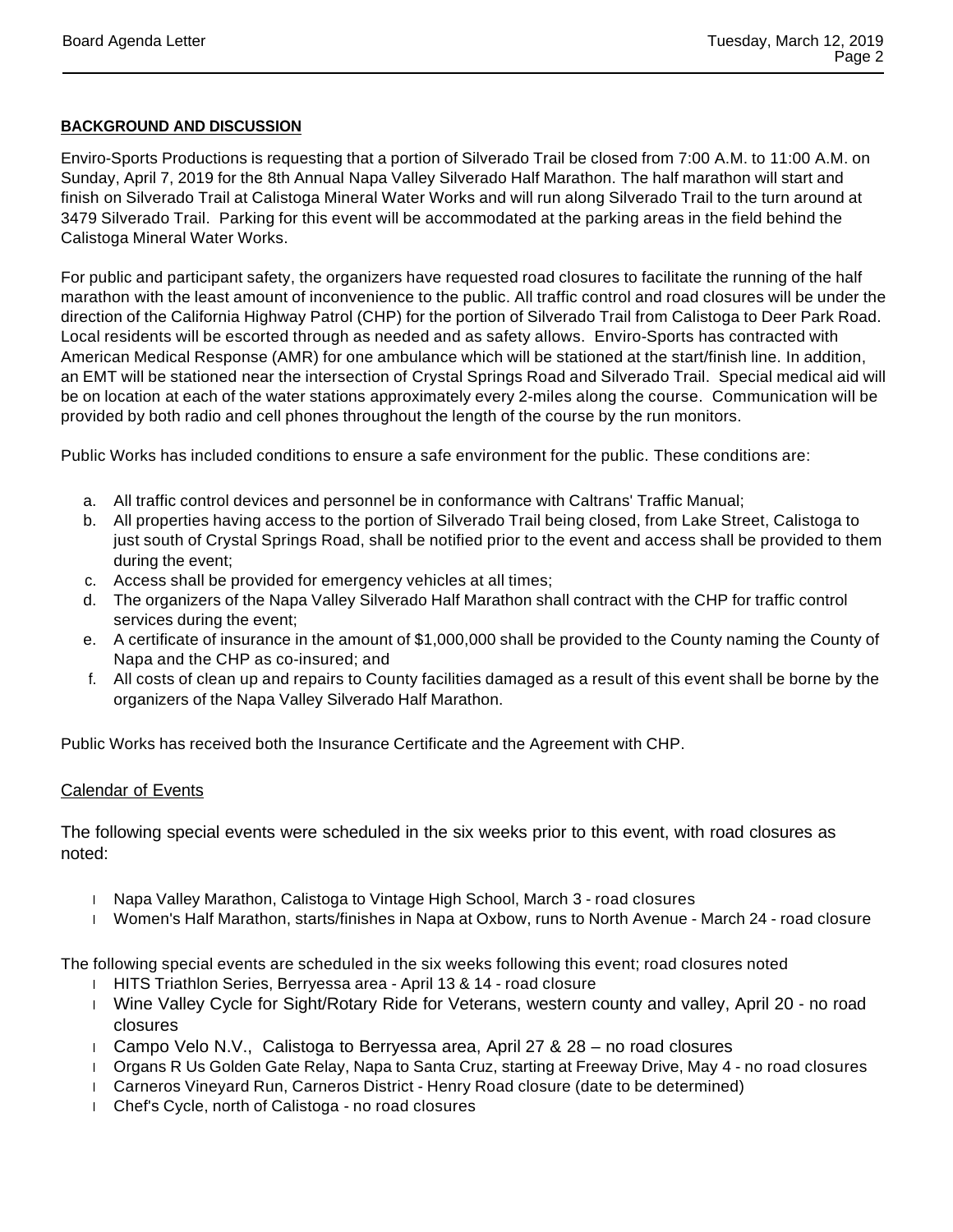#### **BACKGROUND AND DISCUSSION**

Enviro-Sports Productions is requesting that a portion of Silverado Trail be closed from 7:00 A.M. to 11:00 A.M. on Sunday, April 7, 2019 for the 8th Annual Napa Valley Silverado Half Marathon. The half marathon will start and finish on Silverado Trail at Calistoga Mineral Water Works and will run along Silverado Trail to the turn around at 3479 Silverado Trail. Parking for this event will be accommodated at the parking areas in the field behind the Calistoga Mineral Water Works.

For public and participant safety, the organizers have requested road closures to facilitate the running of the half marathon with the least amount of inconvenience to the public. All traffic control and road closures will be under the direction of the California Highway Patrol (CHP) for the portion of Silverado Trail from Calistoga to Deer Park Road. Local residents will be escorted through as needed and as safety allows. Enviro-Sports has contracted with American Medical Response (AMR) for one ambulance which will be stationed at the start/finish line. In addition, an EMT will be stationed near the intersection of Crystal Springs Road and Silverado Trail. Special medical aid will be on location at each of the water stations approximately every 2-miles along the course. Communication will be provided by both radio and cell phones throughout the length of the course by the run monitors.

Public Works has included conditions to ensure a safe environment for the public. These conditions are:

- a. All traffic control devices and personnel be in conformance with Caltrans' Traffic Manual;
- b. All properties having access to the portion of Silverado Trail being closed, from Lake Street, Calistoga to just south of Crystal Springs Road, shall be notified prior to the event and access shall be provided to them during the event;
- c. Access shall be provided for emergency vehicles at all times;
- d. The organizers of the Napa Valley Silverado Half Marathon shall contract with the CHP for traffic control services during the event;
- e. A certificate of insurance in the amount of \$1,000,000 shall be provided to the County naming the County of Napa and the CHP as co-insured; and
- f. All costs of clean up and repairs to County facilities damaged as a result of this event shall be borne by the organizers of the Napa Valley Silverado Half Marathon.

Public Works has received both the Insurance Certificate and the Agreement with CHP.

### Calendar of Events

The following special events were scheduled in the six weeks prior to this event, with road closures as noted:

- 1 Napa Valley Marathon, Calistoga to Vintage High School, March 3 road closures
- Women's Half Marathon, starts/finishes in Napa at Oxbow, runs to North Avenue March 24 road closure

The following special events are scheduled in the six weeks following this event; road closures noted

- HITS Triathlon Series, Berryessa area April 13 & 14 road closure
- Wine Valley Cycle for Sight/Rotary Ride for Veterans, western county and valley, April 20 no road closures
- Campo Velo N.V., Calistoga to Berryessa area, April 27 & 28 no road closures
- 1 Organs R Us Golden Gate Relay, Napa to Santa Cruz, starting at Freeway Drive, May 4 no road closures
- Carneros Vineyard Run, Carneros District Henry Road closure (date to be determined)
- Chef's Cycle, north of Calistoga no road closures